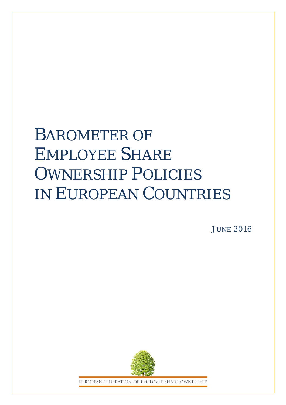# BAROMETER OF EMPLOYEE SHARE OWNERSHIP POLICIES IN EUROPEAN COUNTRIES

**JUNE 2016** 



EUROPEAN FEDERATION OF EMPLOYEE SHARE OWNERSHIP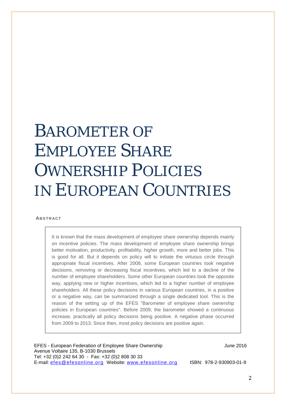# BAROMETER OF EMPLOYEE SHARE OWNERSHIP POLICIES IN EUROPEAN COUNTRIES

#### **ABSTRACT**

It is known that the mass development of employee share ownership depends mainly on incentive policies. The mass development of employee share ownership brings better motivation, productivity, profitability, higher growth, more and better jobs. This is good for all. But it depends on policy will to initiate the virtuous circle through appropriate fiscal incentives. After 2008, some European countries took negative decisions, removing or decreasing fiscal incentives, which led to a decline of the number of employee shareholders. Some other European countries took the opposite way, applying new or higher incentives, which led to a higher number of employee shareholders. All these policy decisions in various European countries, in a positive or a negative way, can be summarized through a single dedicated tool. This is the reason of the setting up of the EFES "Barometer of employee share ownership policies in European countries". Before 2009, the barometer showed a continuous increase, practically all policy decisions being positive. A negative phase occurred from 2009 to 2013. Since then, most policy decisions are positive again.

EFES - European Federation of Employee Share Ownership **FRES** - Sume 2016 Avenue Voltaire 135, B-1030 Brussels Tel: +32 (0)2 242 64 30 - Fax: +32 (0)2 808 30 33 E-mail: [efes@efesonline.org](mailto:efes@efesonline.org) Website: [www.efesonline.org](http://www.efesonline.org/) ISBN: 978-2-930903-01-9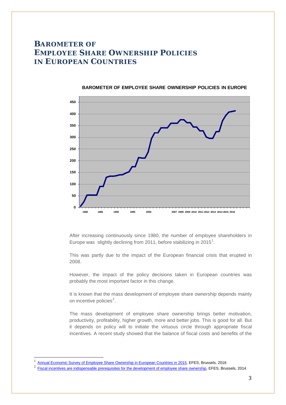### **BAROMETER OF EMPLOYEE SHARE OWNERSHIP POLICIES IN EUROPEAN COUNTRIES**



#### **BAROMETER OF EMPLOYEE SHARE OWNERSHIP POLICIES IN EUROPE**

After increasing continuously since 1980, the number of employee shareholders in Europe was slightly declining from 20[1](#page-2-0)1, before stabilizing in 2015<sup>1</sup>.

This was partly due to the impact of the European financial crisis that erupted in 2008.

However, the impact of the policy decisions taken in European countries was probably the most important factor in this change.

It is known that the mass development of employee share ownership depends mainly on incentive policies<sup>[2](#page-2-1)</sup>.

The mass development of employee share ownership brings better motivation, productivity, profitability, higher growth, more and better jobs. This is good for all. But it depends on policy will to initiate the virtuous circle through appropriate fiscal incentives. A recent study showed that the balance of fiscal costs and benefits of the

<span id="page-2-1"></span><span id="page-2-0"></span> $\frac{1}{2}$  [Annual Economic Survey of Employee Share Ownership in European Countries in 2015,](http://www.efesonline.org/Annual%20Economic%20Survey/2015/Survey%202015.pdf) EFES, Brussels, 2016

[Fiscal incentives are indispensable prerequisites for the development of employee share ownership,](http://www.efesonline.org/INDISPENSABLE/Fiscal%20incentives%20are%20a%20prerequisite.pdf) EFES, Brussels, 2014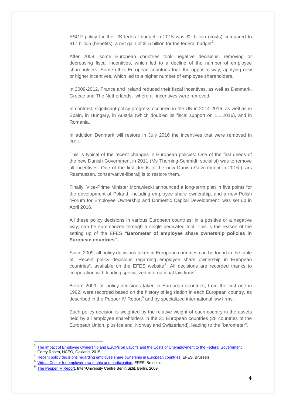ESOP policy for the US federal budget in 2015 was \$2 billion (costs) compared to  $$17$  billion (benefits), a net gain of  $$15$  billion for the federal budget $^3$  $^3$ .

After 2008, some European countries took negative decisions, removing or decreasing fiscal incentives, which led to a decline of the number of employee shareholders. Some other European countries took the opposite way, applying new or higher incentives, which led to a higher number of employee shareholders.

In 2009-2012, France and Ireland reduced their fiscal incentives, as well as Denmark, Greece and The Netherlands, where all incentives were removed.

In contrast, significant policy progress occurred in the UK in 2014-2016, as well as in Spain, in Hungary, in Austria (which doubled its fiscal support on 1.1.2016), and in Romania.

In addition Denmark will restore in July 2016 the incentives that were removed in 2011.

This is typical of the recent changes in European policies: One of the first deeds of the new Danish Government in 2011 (Ms Thorning-Schmidt, socialist) was to remove all incentives. One of the first deeds of the new Danish Government in 2016 (Lars Rasmussen, conservative-liberal) is to restore them.

Finally, Vice-Prime Minister Morawiecki announced a long-term plan in five points for the development of Poland, including employee share ownership, and a new Polish "Forum for Employee Ownership and Domestic Capital Development" was set up in April 2016.

All these policy decisions in various European countries, in a positive or a negative way, can be summarized through a single dedicated tool. This is the reason of the setting up of the EFES **"Barometer of employee share ownership policies in European countries".** 

Since 2009, all policy decisions taken in European countries can be found in the table of "Recent policy decisions regarding employee share ownership in European countries", available on the EFES website [4](#page-3-1) . All decisions are recorded thanks to cooperation with leading specialized international law firms $5$ .

Before 2009, all policy decisions taken in European countries, from the first one in 1962, were recorded based on the history of legislation in each European country, as described in the Pepper IV Report<sup>[6](#page-3-3)</sup> and by specialized international law firms.

Each policy decision is weighted by the relative weight of each country in the assets held by all employee shareholders in the 31 European countries (28 countries of the European Union, plus Iceland, Norway and Switzerland), leading to the "barometer".

<span id="page-3-0"></span>3 [The Impact of Employee Ownership and ESOPs on Layoffs and the Costs of Unemployment to the Federal Government,](http://www.nceo.org/observations-employee-ownership/c/impact-employee-ownership-esops-layoffs-costs-unemployment-federal-government) Corey Rosen, NCEO, Oakland, 2015<br>  $\frac{4}{\text{Recent policy decisions regarding employee share ownership in European countries, EFES, Brussels.}$  $\frac{4}{\text{Recent policy decisions regarding employee share ownership in European countries, EFES, Brussels.}$  $\frac{4}{\text{Recent policy decisions regarding employee share ownership in European countries, EFES, Brussels.}$ <br>  $\frac{5 \text{ Virtual Center for employee ownership and participation EES: Brussels}}{2}$ 

<span id="page-3-1"></span>

[Virtual Center for employee ownership and participation,](http://www.efesonline.org/Virtual%20Center.htm) EFES, Brussels.

<span id="page-3-3"></span><span id="page-3-2"></span>[The Pepper IV Report,](http://www.intercentar.de/fileadmin/files/PEPPER_IV/PEPPER_IV_Web.pdf) Inter-University Centre Berlin/Split, Berlin, 2009.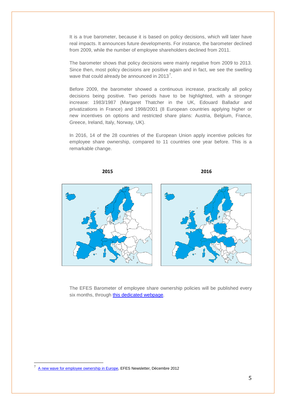It is a true barometer, because it is based on policy decisions, which will later have real impacts. It announces future developments. For instance, the barometer declined from 2009, while the number of employee shareholders declined from 2011.

The barometer shows that policy decisions were mainly negative from 2009 to 2013. Since then, most policy decisions are positive again and in fact, we see the swelling wave that could already be announced in 2013<sup>[7](#page-4-0)</sup>.

Before 2009, the barometer showed a continuous increase, practically all policy decisions being positive. Two periods have to be highlighted, with a stronger increase: 1983/1987 (Margaret Thatcher in the UK, Edouard Balladur and privatizations in France) and 1998/2001 (8 European countries applying higher or new incentives on options and restricted share plans: Austria, Belgium, France, Greece, Ireland, Italy, Norway, UK).

In 2016, 14 of the 28 countries of the European Union apply incentive policies for employee share ownership, compared to 11 countries one year before. This is a remarkable change.

**2015 2016**



The EFES Barometer of employee share ownership policies will be published every six months, through [this dedicated webpage.](http://www.efesonline.org/BAROMETER/EN.htm)

<span id="page-4-0"></span><sup>-&</sup>lt;br>7 [A new wave for employee ownership in Europe,](http://www.efesonline.org/EFES%20NEWS/2012/EFES%20NEWSLETTER%20-%2012-2012%20EN.htm) EFES Newsletter, Décembre 2012